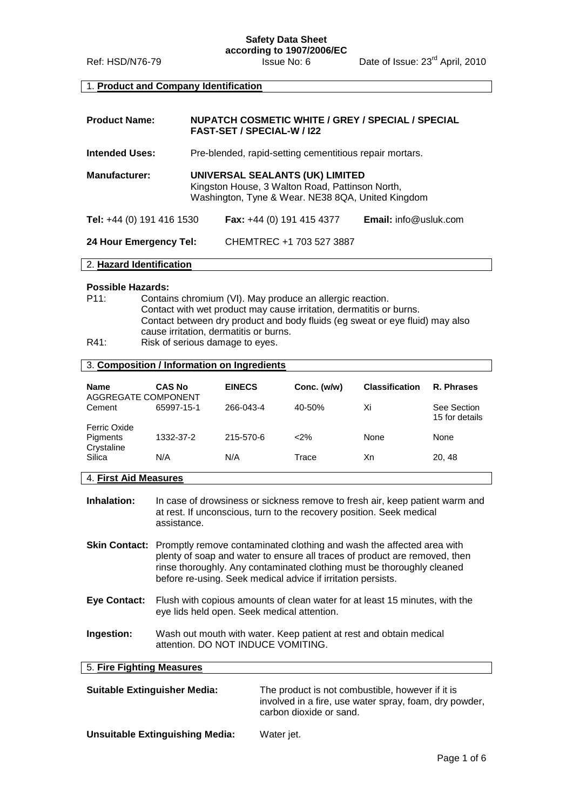## **Safety Data Sheet according to 1907/2006/EC**

#### 1. **Product and Company Identification**

| <b>Product Name:</b>      | <b>NUPATCH COSMETIC WHITE / GREY / SPECIAL / SPECIAL</b><br><b>FAST-SET / SPECIAL-W / 122</b>                                           |                                    |                              |
|---------------------------|-----------------------------------------------------------------------------------------------------------------------------------------|------------------------------------|------------------------------|
| <b>Intended Uses:</b>     | Pre-blended, rapid-setting cementitious repair mortars.                                                                                 |                                    |                              |
| <b>Manufacturer:</b>      | UNIVERSAL SEALANTS (UK) LIMITED<br>Kingston House, 3 Walton Road, Pattinson North,<br>Washington, Tyne & Wear. NE38 8QA, United Kingdom |                                    |                              |
| Tel: +44 (0) 191 416 1530 |                                                                                                                                         | <b>Fax:</b> $+44$ (0) 191 415 4377 | <b>Email:</b> info@usluk.com |
| 24 Hour Emergency Tel:    |                                                                                                                                         | CHEMTREC +1 703 527 3887           |                              |

#### 2. **Hazard Identification**

#### **Possible Hazards:**

- P11: Contains chromium (VI). May produce an allergic reaction. Contact with wet product may cause irritation, dermatitis or burns. Contact between dry product and body fluids (eg sweat or eye fluid) may also cause irritation, dermatitis or burns. R41: Risk of serious damage to eyes.
- 

# 3. **Composition / Information on Ingredients**

| <b>Name</b><br>AGGREGATE COMPONENT     | <b>CAS No</b> | <b>EINECS</b> | Conc. (w/w) | <b>Classification</b> | R. Phrases                    |
|----------------------------------------|---------------|---------------|-------------|-----------------------|-------------------------------|
| Cement                                 | 65997-15-1    | 266-043-4     | 40-50%      | Xi                    | See Section<br>15 for details |
| Ferric Oxide<br>Pigments<br>Crystaline | 1332-37-2     | 215-570-6     | $2\%$       | None                  | None                          |
| Silica                                 | N/A           | N/A           | Trace       | Xn                    | 20, 48                        |

#### 4. **First Aid Measures**

**Inhalation:** In case of drowsiness or sickness remove to fresh air, keep patient warm and at rest. If unconscious, turn to the recovery position. Seek medical assistance.

**Skin Contact:** Promptly remove contaminated clothing and wash the affected area with plenty of soap and water to ensure all traces of product are removed, then rinse thoroughly. Any contaminated clothing must be thoroughly cleaned before re-using. Seek medical advice if irritation persists.

- **Eye Contact:** Flush with copious amounts of clean water for at least 15 minutes, with the eye lids held open. Seek medical attention.
- **Ingestion:** Wash out mouth with water. Keep patient at rest and obtain medical attention. DO NOT INDUCE VOMITING.

#### 5. **Fire Fighting Measures**

| <b>Suitable Extinguisher Media:</b>    | The product is not combustible, however if it is<br>involved in a fire, use water spray, foam, dry powder,<br>carbon dioxide or sand. |
|----------------------------------------|---------------------------------------------------------------------------------------------------------------------------------------|
| <b>Unsuitable Extinguishing Media:</b> | Water jet.                                                                                                                            |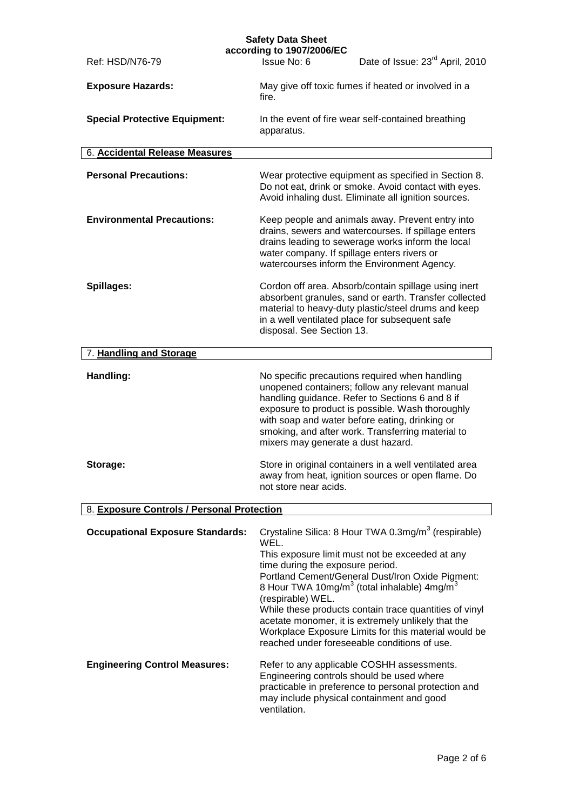|                                            | <b>Safety Data Sheet</b><br>according to 1907/2006/EC                                                                                                                                                                                                                                                                                                                                                                                                                                                                                  |
|--------------------------------------------|----------------------------------------------------------------------------------------------------------------------------------------------------------------------------------------------------------------------------------------------------------------------------------------------------------------------------------------------------------------------------------------------------------------------------------------------------------------------------------------------------------------------------------------|
| Ref: HSD/N76-79                            | Date of Issue: 23 <sup>rd</sup> April, 2010<br>Issue No: 6                                                                                                                                                                                                                                                                                                                                                                                                                                                                             |
| <b>Exposure Hazards:</b>                   | May give off toxic fumes if heated or involved in a<br>fire.                                                                                                                                                                                                                                                                                                                                                                                                                                                                           |
| <b>Special Protective Equipment:</b>       | In the event of fire wear self-contained breathing<br>apparatus.                                                                                                                                                                                                                                                                                                                                                                                                                                                                       |
| 6. Accidental Release Measures             |                                                                                                                                                                                                                                                                                                                                                                                                                                                                                                                                        |
| <b>Personal Precautions:</b>               | Wear protective equipment as specified in Section 8.<br>Do not eat, drink or smoke. Avoid contact with eyes.<br>Avoid inhaling dust. Eliminate all ignition sources.                                                                                                                                                                                                                                                                                                                                                                   |
| <b>Environmental Precautions:</b>          | Keep people and animals away. Prevent entry into<br>drains, sewers and watercourses. If spillage enters<br>drains leading to sewerage works inform the local<br>water company. If spillage enters rivers or<br>watercourses inform the Environment Agency.                                                                                                                                                                                                                                                                             |
| Spillages:                                 | Cordon off area. Absorb/contain spillage using inert<br>absorbent granules, sand or earth. Transfer collected<br>material to heavy-duty plastic/steel drums and keep<br>in a well ventilated place for subsequent safe<br>disposal. See Section 13.                                                                                                                                                                                                                                                                                    |
| 7. Handling and Storage                    |                                                                                                                                                                                                                                                                                                                                                                                                                                                                                                                                        |
| Handling:                                  | No specific precautions required when handling<br>unopened containers; follow any relevant manual<br>handling guidance. Refer to Sections 6 and 8 if<br>exposure to product is possible. Wash thoroughly<br>with soap and water before eating, drinking or<br>smoking, and after work. Transferring material to<br>mixers may generate a dust hazard.                                                                                                                                                                                  |
| Storage:                                   | Store in original containers in a well ventilated area<br>away from heat, ignition sources or open flame. Do<br>not store near acids.                                                                                                                                                                                                                                                                                                                                                                                                  |
| 8. Exposure Controls / Personal Protection |                                                                                                                                                                                                                                                                                                                                                                                                                                                                                                                                        |
| <b>Occupational Exposure Standards:</b>    | Crystaline Silica: 8 Hour TWA 0.3mg/m <sup>3</sup> (respirable)<br>WEL.<br>This exposure limit must not be exceeded at any<br>time during the exposure period.<br>Portland Cement/General Dust/Iron Oxide Pigment:<br>8 Hour TWA 10mg/m <sup>3</sup> (total inhalable) 4mg/m <sup>3</sup><br>(respirable) WEL.<br>While these products contain trace quantities of vinyl<br>acetate monomer, it is extremely unlikely that the<br>Workplace Exposure Limits for this material would be<br>reached under foreseeable conditions of use. |
| <b>Engineering Control Measures:</b>       | Refer to any applicable COSHH assessments.<br>Engineering controls should be used where<br>practicable in preference to personal protection and<br>may include physical containment and good<br>ventilation.                                                                                                                                                                                                                                                                                                                           |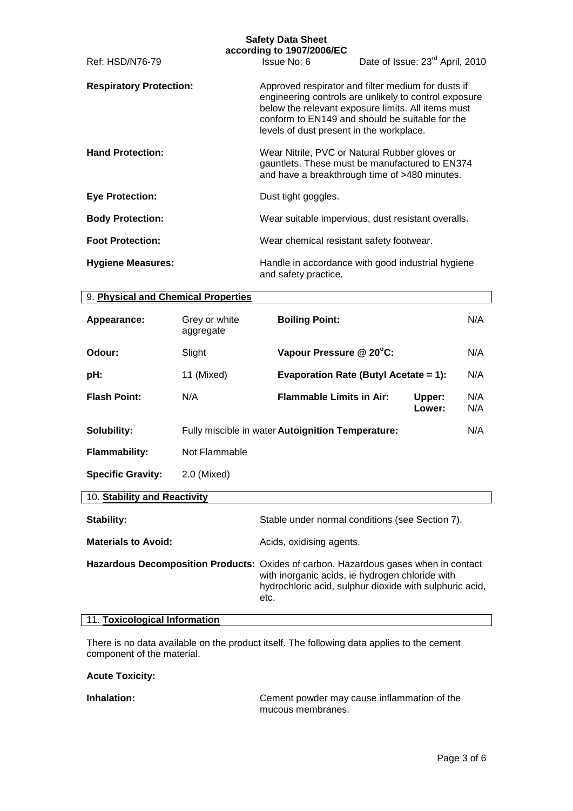| <b>Safety Data Sheet</b><br>according to 1907/2006/EC |                            |                                                   |                                                                                                                                                                                                                      |            |
|-------------------------------------------------------|----------------------------|---------------------------------------------------|----------------------------------------------------------------------------------------------------------------------------------------------------------------------------------------------------------------------|------------|
| Ref: HSD/N76-79                                       |                            | Issue No: 6                                       | Date of Issue: 23 <sup>rd</sup> April, 2010                                                                                                                                                                          |            |
| <b>Respiratory Protection:</b>                        |                            | levels of dust present in the workplace.          | Approved respirator and filter medium for dusts if<br>engineering controls are unlikely to control exposure<br>below the relevant exposure limits. All items must<br>conform to EN149 and should be suitable for the |            |
| <b>Hand Protection:</b>                               |                            |                                                   | Wear Nitrile, PVC or Natural Rubber gloves or<br>gauntlets. These must be manufactured to EN374<br>and have a breakthrough time of >480 minutes.                                                                     |            |
| <b>Eye Protection:</b>                                |                            | Dust tight goggles.                               |                                                                                                                                                                                                                      |            |
| <b>Body Protection:</b>                               |                            |                                                   | Wear suitable impervious, dust resistant overalls.                                                                                                                                                                   |            |
| <b>Foot Protection:</b>                               |                            | Wear chemical resistant safety footwear.          |                                                                                                                                                                                                                      |            |
| <b>Hygiene Measures:</b>                              |                            | and safety practice.                              | Handle in accordance with good industrial hygiene                                                                                                                                                                    |            |
| 9. Physical and Chemical Properties                   |                            |                                                   |                                                                                                                                                                                                                      |            |
| Appearance:                                           | Grey or white<br>aggregate | <b>Boiling Point:</b>                             |                                                                                                                                                                                                                      | N/A        |
| Odour:                                                | Slight                     | Vapour Pressure @ 20°C:                           |                                                                                                                                                                                                                      | N/A        |
| pH:                                                   | 11 (Mixed)                 |                                                   | <b>Evaporation Rate (Butyl Acetate = 1):</b>                                                                                                                                                                         | N/A        |
| <b>Flash Point:</b>                                   | N/A                        | <b>Flammable Limits in Air:</b>                   | Upper:<br>Lower:                                                                                                                                                                                                     | N/A<br>N/A |
| Solubility:                                           |                            | Fully miscible in water Autoignition Temperature: |                                                                                                                                                                                                                      | N/A        |
| <b>Flammability:</b>                                  | Not Flammable              |                                                   |                                                                                                                                                                                                                      |            |
| <b>Specific Gravity:</b>                              | 2.0 (Mixed)                |                                                   |                                                                                                                                                                                                                      |            |
| 10. Stability and Reactivity                          |                            |                                                   |                                                                                                                                                                                                                      |            |

| Stability:                 | Stable under normal conditions (see Section 7).                                                                                                                                                           |
|----------------------------|-----------------------------------------------------------------------------------------------------------------------------------------------------------------------------------------------------------|
| <b>Materials to Avoid:</b> | Acids, oxidising agents.                                                                                                                                                                                  |
|                            | Hazardous Decomposition Products: Oxides of carbon. Hazardous gases when in contact<br>with inorganic acids, ie hydrogen chloride with<br>hydrochloric acid, sulphur dioxide with sulphuric acid,<br>etc. |

## 11. **Toxicological Information**

There is no data available on the product itself. The following data applies to the cement component of the material.

#### **Acute Toxicity:**

**Inhalation:** Cement powder may cause inflammation of the mucous membranes.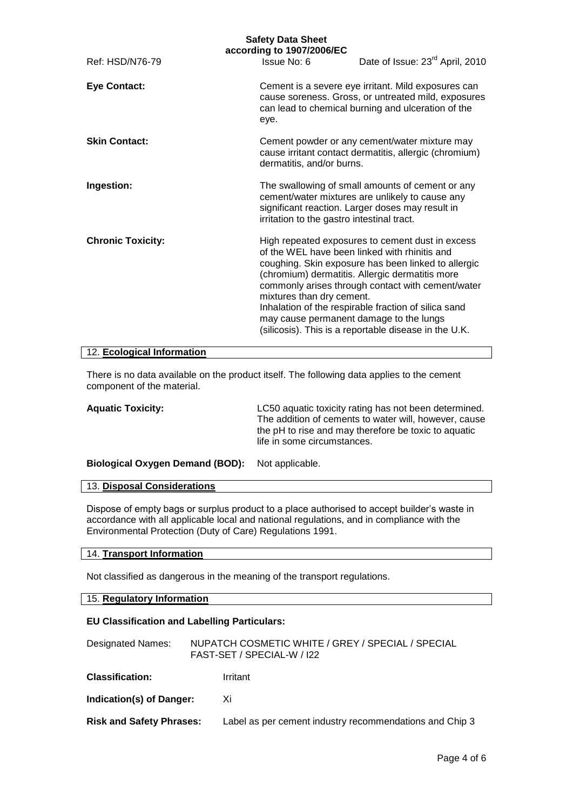| <b>Safety Data Sheet</b><br>according to 1907/2006/EC |                                                                                                                       |                                                                                                                                                                                                                                                                                                                                  |  |  |  |
|-------------------------------------------------------|-----------------------------------------------------------------------------------------------------------------------|----------------------------------------------------------------------------------------------------------------------------------------------------------------------------------------------------------------------------------------------------------------------------------------------------------------------------------|--|--|--|
| Ref: HSD/N76-79                                       | Issue No: 6                                                                                                           | Date of Issue: 23 <sup>rd</sup> April, 2010                                                                                                                                                                                                                                                                                      |  |  |  |
| <b>Eye Contact:</b>                                   | eye.                                                                                                                  | Cement is a severe eye irritant. Mild exposures can<br>cause soreness. Gross, or untreated mild, exposures<br>can lead to chemical burning and ulceration of the                                                                                                                                                                 |  |  |  |
| <b>Skin Contact:</b>                                  | dermatitis, and/or burns.                                                                                             | Cement powder or any cement/water mixture may<br>cause irritant contact dermatitis, allergic (chromium)                                                                                                                                                                                                                          |  |  |  |
| Ingestion:                                            | irritation to the gastro intestinal tract.                                                                            | The swallowing of small amounts of cement or any<br>cement/water mixtures are unlikely to cause any<br>significant reaction. Larger doses may result in                                                                                                                                                                          |  |  |  |
| <b>Chronic Toxicity:</b>                              | of the WEL have been linked with rhinitis and<br>mixtures than dry cement.<br>may cause permanent damage to the lungs | High repeated exposures to cement dust in excess<br>coughing. Skin exposure has been linked to allergic<br>(chromium) dermatitis. Allergic dermatitis more<br>commonly arises through contact with cement/water<br>Inhalation of the respirable fraction of silica sand<br>(silicosis). This is a reportable disease in the U.K. |  |  |  |

#### 12. **Ecological Information**

There is no data available on the product itself. The following data applies to the cement component of the material.

| <b>Aquatic Toxicity:</b>                        | LC50 aquatic toxicity rating has not been determined.<br>The addition of cements to water will, however, cause<br>the pH to rise and may therefore be toxic to aquatic<br>life in some circumstances. |
|-------------------------------------------------|-------------------------------------------------------------------------------------------------------------------------------------------------------------------------------------------------------|
| Biological Oxygen Demand (BOD): Not applicable. |                                                                                                                                                                                                       |

### 13. **Disposal Considerations**

Dispose of empty bags or surplus product to a place authorised to accept builder's waste in accordance with all applicable local and national regulations, and in compliance with the Environmental Protection (Duty of Care) Regulations 1991.

### 14. **Transport Information**

Not classified as dangerous in the meaning of the transport regulations.

### 15. **Regulatory Information**

### **EU Classification and Labelling Particulars:**

| Designated Names:               | NUPATCH COSMETIC WHITE / GREY / SPECIAL / SPECIAL<br>FAST-SET / SPECIAL-W / 122 |
|---------------------------------|---------------------------------------------------------------------------------|
| <b>Classification:</b>          | Irritant                                                                        |
| Indication(s) of Danger:        | Xi                                                                              |
| <b>Risk and Safety Phrases:</b> | Label as per cement industry recommendations and Chip 3                         |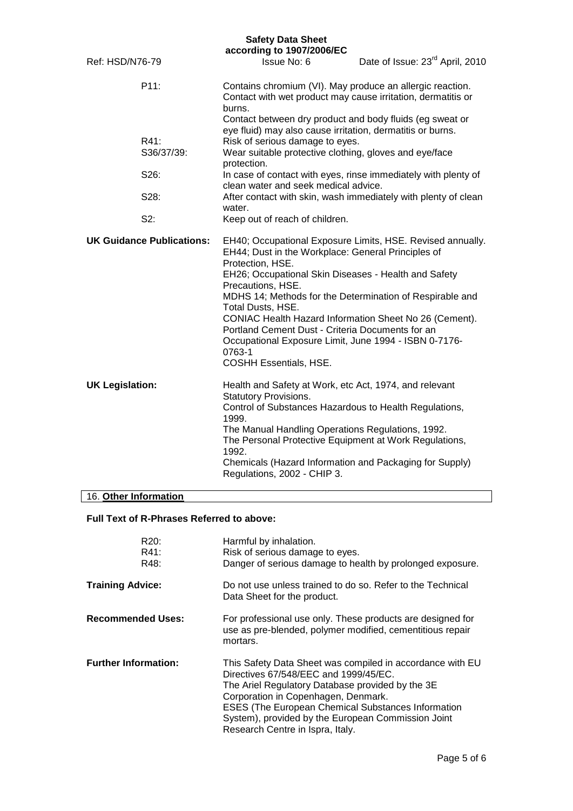|                        |                                  | <b>Safety Data Sheet</b><br>according to 1907/2006/EC                                                                                                                                                                                                                                                                                                                                                                                                  |                                                            |
|------------------------|----------------------------------|--------------------------------------------------------------------------------------------------------------------------------------------------------------------------------------------------------------------------------------------------------------------------------------------------------------------------------------------------------------------------------------------------------------------------------------------------------|------------------------------------------------------------|
| Ref: HSD/N76-79        |                                  | Issue No: 6                                                                                                                                                                                                                                                                                                                                                                                                                                            | Date of Issue: 23 <sup>rd</sup> April, 2010                |
|                        | P11:                             | Contains chromium (VI). May produce an allergic reaction.<br>Contact with wet product may cause irritation, dermatitis or<br>burns.<br>Contact between dry product and body fluids (eg sweat or<br>eye fluid) may also cause irritation, dermatitis or burns.                                                                                                                                                                                          |                                                            |
|                        | R41:<br>S36/37/39:               | Risk of serious damage to eyes.<br>Wear suitable protective clothing, gloves and eye/face<br>protection.                                                                                                                                                                                                                                                                                                                                               |                                                            |
|                        | S26:                             | In case of contact with eyes, rinse immediately with plenty of<br>clean water and seek medical advice.                                                                                                                                                                                                                                                                                                                                                 |                                                            |
|                        | S28:                             | After contact with skin, wash immediately with plenty of clean<br>water.                                                                                                                                                                                                                                                                                                                                                                               |                                                            |
|                        | $S2$ :                           | Keep out of reach of children.                                                                                                                                                                                                                                                                                                                                                                                                                         |                                                            |
|                        | <b>UK Guidance Publications:</b> | EH44; Dust in the Workplace: General Principles of<br>Protection, HSE.<br>EH26; Occupational Skin Diseases - Health and Safety<br>Precautions, HSE.<br>MDHS 14; Methods for the Determination of Respirable and<br>Total Dusts, HSE.<br>CONIAC Health Hazard Information Sheet No 26 (Cement).<br>Portland Cement Dust - Criteria Documents for an<br>Occupational Exposure Limit, June 1994 - ISBN 0-7176-<br>0763-1<br><b>COSHH Essentials, HSE.</b> | EH40; Occupational Exposure Limits, HSE. Revised annually. |
| <b>UK Legislation:</b> |                                  | Health and Safety at Work, etc Act, 1974, and relevant<br><b>Statutory Provisions.</b><br>Control of Substances Hazardous to Health Regulations,<br>1999.<br>The Manual Handling Operations Regulations, 1992.<br>The Personal Protective Equipment at Work Regulations,<br>1992.<br>Chemicals (Hazard Information and Packaging for Supply)<br>Regulations, 2002 - CHIP 3.                                                                            |                                                            |
| 16. Other Information  |                                  |                                                                                                                                                                                                                                                                                                                                                                                                                                                        |                                                            |

## **Full Text of R-Phrases Referred to above:**

| R <sub>20</sub> :<br>R41:<br>R48: | Harmful by inhalation.<br>Risk of serious damage to eyes.<br>Danger of serious damage to health by prolonged exposure.                                                                                                                                                                                                                               |
|-----------------------------------|------------------------------------------------------------------------------------------------------------------------------------------------------------------------------------------------------------------------------------------------------------------------------------------------------------------------------------------------------|
| <b>Training Advice:</b>           | Do not use unless trained to do so. Refer to the Technical<br>Data Sheet for the product.                                                                                                                                                                                                                                                            |
| <b>Recommended Uses:</b>          | For professional use only. These products are designed for<br>use as pre-blended, polymer modified, cementitious repair<br>mortars.                                                                                                                                                                                                                  |
| <b>Further Information:</b>       | This Safety Data Sheet was compiled in accordance with EU<br>Directives 67/548/EEC and 1999/45/EC.<br>The Ariel Regulatory Database provided by the 3E<br>Corporation in Copenhagen, Denmark.<br><b>ESES (The European Chemical Substances Information</b><br>System), provided by the European Commission Joint<br>Research Centre in Ispra, Italy. |